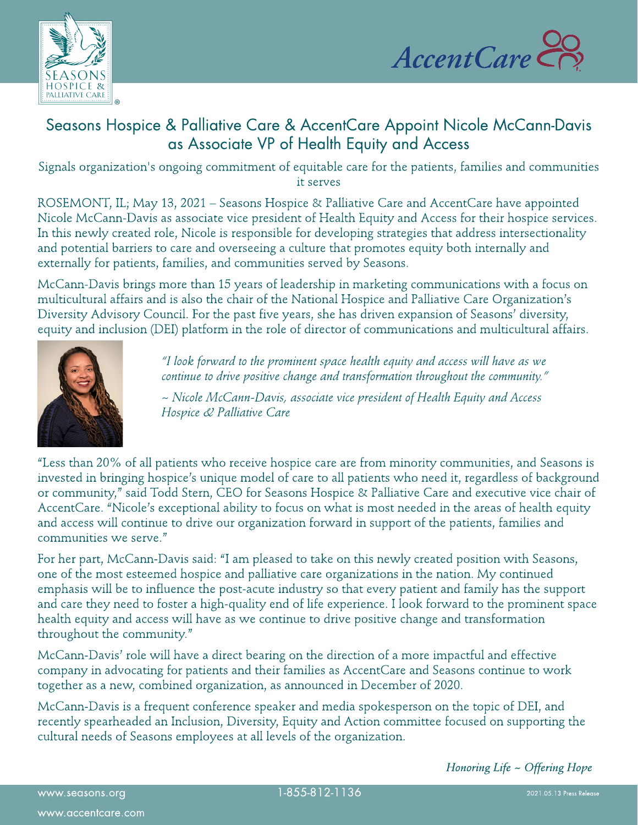



# Seasons Hospice & Palliative Care & AccentCare Appoint Nicole McCann-Davis as Associate VP of Health Equity and Access

Signals organization's ongoing commitment of equitable care for the patients, families and communities it serves

ROSEMONT, IL; May 13, 2021 - Seasons Hospice & Palliative Care and AccentCare have appointed Nicole McCann-Davis as associate vice president of Health Equity and Access for their hospice services. In this newly created role, Nicole is responsible for developing strategies that address intersectionality and potential barriers to care and overseeing a culture that promotes equity both internally and externally for patients, families, and communities served by Seasons.

McCann-Davis brings more than 15 years of leadership in marketing communications with a focus on multicultural affairs and is also the chair of the National Hospice and Palliative Care Organization?s Diversity Advisory Council. For the past five years, she has driven expansion of Seasons' diversity, equity and inclusion (DEI) platform in the role of director of communications and multicultural affairs.



**?I look forwardtotheprominent spacehealthequity and accesswill haveaswe** continue to drive positive change and transformation throughout the community.<sup>"</sup>

**~ NicoleMcCann-Davis, associatevicepresident of HealthEquity and Access Hospice& PalliativeCare**

?Less than 20% of all patients who receive hospice care are from minority communities, and Seasons is invested in bringing hospice?s unique model of care to all patients who need it, regardless of background or community," said Todd Stern, CEO for Seasons Hospice & Palliative Care and executive vice chair of AccentCare. "Nicole's exceptional ability to focus on what is most needed in the areas of health equity and access will continue to drive our organization forward in support of the patients, families and communities we serve."

For her part, McCann-Davis said: "I am pleased to take on this newly created position with Seasons, one of the most esteemed hospice and palliative care organizations in the nation. My continued emphasis will be to influence the post-acute industry so that every patient and family has the support and care they need to foster a high-quality end of life experience. I look forward to the prominent space health equity and access will have as we continue to drive positive change and transformation throughout the community."

McCann-Davis?role will have a direct bearing on the direction of a more impactful and effective company in advocating for patients and their families as AccentCare and Seasons continue to work together as a new, combined organization, as announced in December of 2020.

McCann-Davis is a frequent conference speaker and media spokesperson on the topic of DEI, and recently spearheaded an Inclusion, Diversity, Equity and Action committee focused on supporting the cultural needs of Seasons employees at all levels of the organization.

**HonoringLife~ OfferingHope**